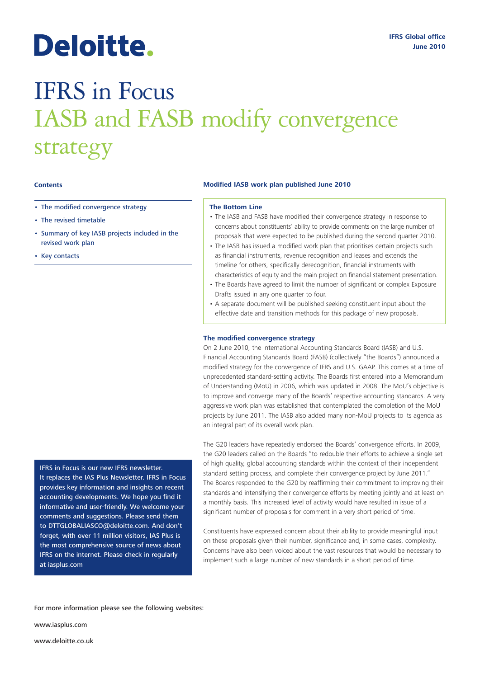# Deloitte.

## IFRS in Focus IASB and FASB modify convergence strategy

- The modified convergence strategy
- [The revised timetable](#page-1-0)
- [Summary of key IASB projects included in the](#page-3-0) revised work plan
- [Key contacts](#page-4-0)

#### **Contents Modified IASB work plan published June 2010**

#### **The Bottom Line**

- The IASB and FASB have modified their convergence strategy in response to concerns about constituents' ability to provide comments on the large number of proposals that were expected to be published during the second quarter 2010.
- The IASB has issued a modified work plan that prioritises certain projects such as financial instruments, revenue recognition and leases and extends the timeline for others, specifically derecognition, financial instruments with characteristics of equity and the main project on financial statement presentation.
- The Boards have agreed to limit the number of significant or complex Exposure Drafts issued in any one quarter to four.
- A separate document will be published seeking constituent input about the effective date and transition methods for this package of new proposals.

#### **The modified convergence strategy**

On 2 June 2010, the International Accounting Standards Board (IASB) and U.S. Financial Accounting Standards Board (FASB) (collectively "the Boards") announced a modified strategy for the convergence of IFRS and U.S. GAAP. This comes at a time of unprecedented standard-setting activity. The Boards first entered into a Memorandum of Understanding (MoU) in 2006, which was updated in 2008. The MoU's objective is to improve and converge many of the Boards' respective accounting standards. A very aggressive work plan was established that contemplated the completion of the MoU projects by June 2011. The IASB also added many non-MoU projects to its agenda as an integral part of its overall work plan.

The G20 leaders have repeatedly endorsed the Boards' convergence efforts. In 2009, the G20 leaders called on the Boards "to redouble their efforts to achieve a single set of high quality, global accounting standards within the context of their independent standard setting process, and complete their convergence project by June 2011." The Boards responded to the G20 by reaffirming their commitment to improving their standards and intensifying their convergence efforts by meeting jointly and at least on a monthly basis. This increased level of activity would have resulted in issue of a significant number of proposals for comment in a very short period of time.

Constituents have expressed concern about their ability to provide meaningful input on these proposals given their number, significance and, in some cases, complexity. Concerns have also been voiced about the vast resources that would be necessary to implement such a large number of new standards in a short period of time.

IFRS in Focus is our new IFRS newsletter. It replaces the IAS Plus Newsletter. IFRS in Focus provides key information and insights on recent accounting developments. We hope you find it informative and user-friendly. We welcome your comments and suggestions. Please send them to DTTGLOBALIASCO@deloitte.com. And don't forget, with over 11 million visitors, IAS Plus is the most comprehensive source of news about IFRS on the internet. Please check in regularly at [iasplus.com](www.iasplus.com)

For more information please see the following websites:

www.iasplus.com

www.deloitte.co.uk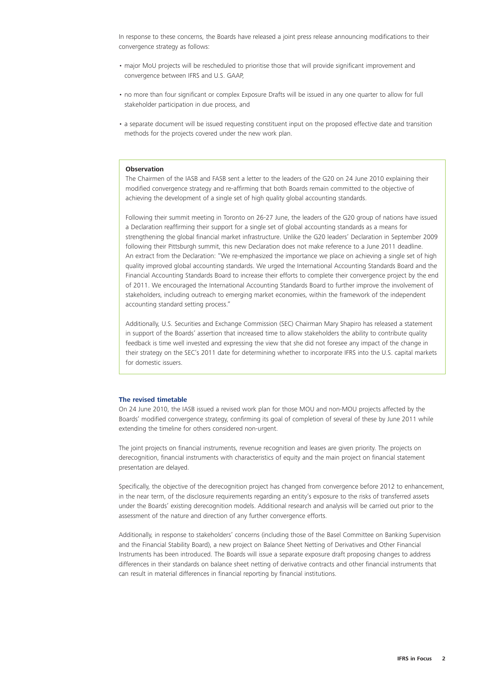<span id="page-1-0"></span>In response to these concerns, the Boards have released a joint press release announcing modifications to their convergence strategy as follows:

- major MoU projects will be rescheduled to prioritise those that will provide significant improvement and convergence between IFRS and U.S. GAAP,
- no more than four significant or complex Exposure Drafts will be issued in any one quarter to allow for full stakeholder participation in due process, and
- a separate document will be issued requesting constituent input on the proposed effective date and transition methods for the projects covered under the new work plan.

#### **Observation**

The Chairmen of the IASB and FASB sent a letter to the leaders of the G20 on 24 June 2010 explaining their modified convergence strategy and re-affirming that both Boards remain committed to the objective of achieving the development of a single set of high quality global accounting standards.

Following their summit meeting in Toronto on 26-27 June, the leaders of the G20 group of nations have issued a Declaration reaffirming their support for a single set of global accounting standards as a means for strengthening the global financial market infrastructure. Unlike the G20 leaders' Declaration in September 2009 following their Pittsburgh summit, this new Declaration does not make reference to a June 2011 deadline. An extract from the Declaration: "We re-emphasized the importance we place on achieving a single set of high quality improved global accounting standards. We urged the International Accounting Standards Board and the Financial Accounting Standards Board to increase their efforts to complete their convergence project by the end of 2011. We encouraged the International Accounting Standards Board to further improve the involvement of stakeholders, including outreach to emerging market economies, within the framework of the independent accounting standard setting process."

Additionally, U.S. Securities and Exchange Commission (SEC) Chairman Mary Shapiro has released a statement in support of the Boards' assertion that increased time to allow stakeholders the ability to contribute quality feedback is time well invested and expressing the view that she did not foresee any impact of the change in their strategy on the SEC's 2011 date for determining whether to incorporate IFRS into the U.S. capital markets for domestic issuers.

#### **The revised timetable**

On 24 June 2010, the IASB issued a revised work plan for those MOU and non-MOU projects affected by the Boards' modified convergence strategy, confirming its goal of completion of several of these by June 2011 while extending the timeline for others considered non-urgent.

The joint projects on financial instruments, revenue recognition and leases are given priority. The projects on derecognition, financial instruments with characteristics of equity and the main project on financial statement presentation are delayed.

Specifically, the objective of the derecognition project has changed from convergence before 2012 to enhancement, in the near term, of the disclosure requirements regarding an entity's exposure to the risks of transferred assets under the Boards' existing derecognition models. Additional research and analysis will be carried out prior to the assessment of the nature and direction of any further convergence efforts.

Additionally, in response to stakeholders' concerns (including those of the Basel Committee on Banking Supervision and the Financial Stability Board), a new project on Balance Sheet Netting of Derivatives and Other Financial Instruments has been introduced. The Boards will issue a separate exposure draft proposing changes to address differences in their standards on balance sheet netting of derivative contracts and other financial instruments that can result in material differences in financial reporting by financial institutions.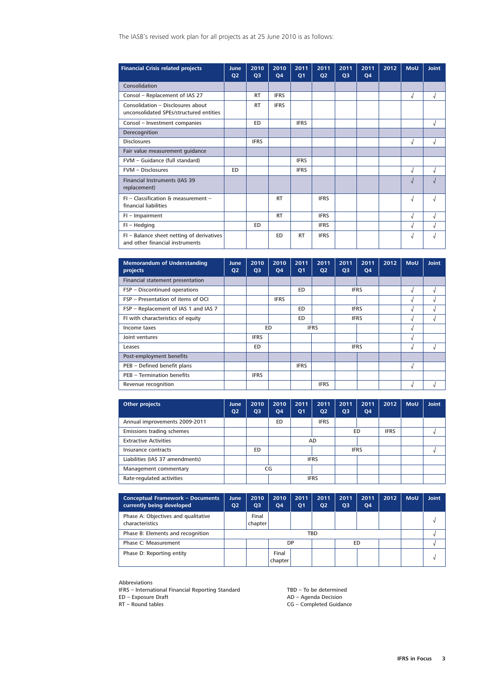#### The IASB's revised work plan for all projects as at 25 June 2010 is as follows:

| <b>Financial Crisis related projects</b>                                       | June<br>Q <sub>2</sub> | 2010<br>Q <sub>3</sub> | 2010<br>Q4  | 2011<br>Q <sub>1</sub> | 2011<br>Q <sub>2</sub> | 2011<br>Q <sub>3</sub> | 2011<br><b>Q4</b> | 2012 | <b>MoU</b> | <b>Joint</b> |
|--------------------------------------------------------------------------------|------------------------|------------------------|-------------|------------------------|------------------------|------------------------|-------------------|------|------------|--------------|
| Consolidation                                                                  |                        |                        |             |                        |                        |                        |                   |      |            |              |
| Consol - Replacement of IAS 27                                                 |                        | <b>RT</b>              | <b>IFRS</b> |                        |                        |                        |                   |      | $\sqrt{ }$ | √            |
| Consolidation - Disclosures about<br>unconsolidated SPEs/structured entities   |                        | <b>RT</b>              | <b>IFRS</b> |                        |                        |                        |                   |      |            |              |
| Consol - Investment companies                                                  |                        | ED                     |             | <b>IFRS</b>            |                        |                        |                   |      |            | V            |
| Derecognition                                                                  |                        |                        |             |                        |                        |                        |                   |      |            |              |
| <b>Disclosures</b>                                                             |                        | <b>IFRS</b>            |             |                        |                        |                        |                   |      | V          | √            |
| Fair value measurement quidance                                                |                        |                        |             |                        |                        |                        |                   |      |            |              |
| FVM - Guidance (full standard)                                                 |                        |                        |             | <b>IFRS</b>            |                        |                        |                   |      |            |              |
| FVM - Disclosures                                                              | <b>ED</b>              |                        |             | <b>IFRS</b>            |                        |                        |                   |      |            |              |
| Financial Instruments (IAS 39<br>replacement)                                  |                        |                        |             |                        |                        |                        |                   |      |            |              |
| $FI - Classification$ & measurement -<br>financial liabilities                 |                        |                        | <b>RT</b>   |                        | <b>IFRS</b>            |                        |                   |      | √          | $\sqrt{ }$   |
| $FI - Impairment$                                                              |                        |                        | <b>RT</b>   |                        | <b>IFRS</b>            |                        |                   |      |            | √            |
| $FI - Hedging$                                                                 |                        | ED                     |             |                        | <b>IFRS</b>            |                        |                   |      |            |              |
| $FI$ – Balance sheet netting of derivatives<br>and other financial instruments |                        |                        | ED          | <b>RT</b>              | <b>IFRS</b>            |                        |                   |      | √          |              |

| <b>Memorandum of Understanding</b><br>projects | June<br>Q <sub>2</sub> | 2010<br>Q <sub>3</sub> | 2010<br>Q4  | 2011<br>Q <sub>1</sub> | 2011<br><b>Q2</b> | 2011<br>Q <sub>3</sub> | 2011<br><b>Q4</b> | 2012 | <b>MoU</b> | <b>Joint</b> |
|------------------------------------------------|------------------------|------------------------|-------------|------------------------|-------------------|------------------------|-------------------|------|------------|--------------|
| Financial statement presentation               |                        |                        |             |                        |                   |                        |                   |      |            |              |
| FSP - Discontinued operations                  |                        |                        |             | <b>ED</b>              |                   | <b>IFRS</b>            |                   |      |            |              |
| FSP - Presentation of items of OCI             |                        |                        | <b>IFRS</b> |                        |                   |                        |                   |      | N          |              |
| FSP - Replacement of IAS 1 and IAS 7           |                        |                        |             | <b>ED</b>              |                   | <b>IFRS</b>            |                   |      | N          | N            |
| FI with characteristics of equity              |                        |                        |             | <b>ED</b>              |                   | <b>IFRS</b>            |                   |      |            |              |
| Income taxes                                   |                        | ED                     |             | <b>IFRS</b>            |                   |                        |                   |      | J          |              |
| Joint ventures                                 |                        | <b>IFRS</b>            |             |                        |                   |                        |                   |      | J          |              |
| Leases                                         |                        | <b>ED</b>              |             |                        |                   | <b>IFRS</b>            |                   |      | N          |              |
| Post-employment benefits                       |                        |                        |             |                        |                   |                        |                   |      |            |              |
| PEB - Defined benefit plans                    |                        |                        |             | <b>IFRS</b>            |                   |                        |                   |      | J          |              |
| PEB - Termination benefits                     |                        | <b>IFRS</b>            |             |                        |                   |                        |                   |      |            |              |
| Revenue recognition                            |                        |                        |             |                        | <b>IFRS</b>       |                        |                   |      |            |              |

| Other projects                  | June<br>Q <sub>2</sub> | 2010<br>Q3 | 2010<br>Q4 | 2011<br>Q <sub>1</sub> | 2011<br>Q <sub>2</sub> | 2011<br>Q <sub>3</sub> | 2011<br>Q <sub>4</sub> | 2012        | <b>MoU</b> | <b>Joint</b> |
|---------------------------------|------------------------|------------|------------|------------------------|------------------------|------------------------|------------------------|-------------|------------|--------------|
| Annual improvements 2009-2011   |                        |            | ED         |                        | <b>IFRS</b>            |                        |                        |             |            |              |
| Emissions trading schemes       |                        |            |            |                        |                        | ED                     |                        | <b>IFRS</b> |            | N            |
| <b>Extractive Activities</b>    |                        |            |            | AD                     |                        |                        |                        |             |            |              |
| Insurance contracts             |                        | ED         |            |                        |                        | <b>IFRS</b>            |                        |             |            |              |
| Liabilities (IAS 37 amendments) |                        |            |            |                        | <b>IFRS</b>            |                        |                        |             |            |              |
| Management commentary           |                        | CG         |            |                        |                        |                        |                        |             |            |              |
| Rate-regulated activities       |                        |            |            | <b>IFRS</b>            |                        |                        |                        |             |            |              |

| <b>Conceptual Framework - Documents</b><br>currently being developed | June<br>Q <sub>2</sub> | 2010<br>Q <sub>3</sub> | 2010<br>Q4       | 2011<br>Q <sub>1</sub> | 2011<br>Q <sub>2</sub> | 2011<br>Q <sub>3</sub> | 2011<br>Q4 | 2012 | <b>MoU</b> | <b>Joint</b> |
|----------------------------------------------------------------------|------------------------|------------------------|------------------|------------------------|------------------------|------------------------|------------|------|------------|--------------|
| Phase A: Objectives and qualitative<br>characteristics               |                        | Final<br>chapter       |                  |                        |                        |                        |            |      |            |              |
| Phase B: Elements and recognition                                    | TBD                    |                        |                  |                        |                        |                        |            |      |            |              |
| Phase C: Measurement                                                 |                        |                        |                  | DP                     |                        |                        | ED         |      |            |              |
| Phase D: Reporting entity                                            |                        |                        | Final<br>chapter |                        |                        |                        |            |      |            |              |

Abbreviations

IFRS – International Financial Reporting Standard

ED – Exposure Draft

RT – Round tables

TBD – To be determined

AD – Agenda Decision

CG – Completed Guidance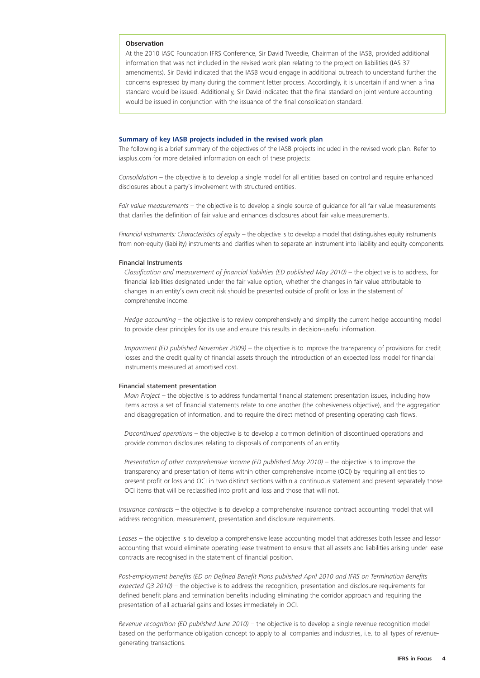#### <span id="page-3-0"></span>**Observation**

At the 2010 IASC Foundation IFRS Conference, Sir David Tweedie, Chairman of the IASB, provided additional information that was not included in the revised work plan relating to the project on liabilities (IAS 37 amendments). Sir David indicated that the IASB would engage in additional outreach to understand further the concerns expressed by many during the comment letter process. Accordingly, it is uncertain if and when a final standard would be issued. Additionally, Sir David indicated that the final standard on joint venture accounting would be issued in conjunction with the issuance of the final consolidation standard.

#### **Summary of key IASB projects included in the revised work plan**

The following is a brief summary of the objectives of the IASB projects included in the revised work plan. Refer to iasplus.com for more detailed information on each of these projects:

*Consolidation* – the objective is to develop a single model for all entities based on control and require enhanced disclosures about a party's involvement with structured entities.

*Fair value measurements* – the objective is to develop a single source of guidance for all fair value measurements that clarifies the definition of fair value and enhances disclosures about fair value measurements.

Financial instruments: Characteristics of equity – the objective is to develop a model that distinguishes equity instruments from non-equity (liability) instruments and clarifies when to separate an instrument into liability and equity components.

#### Financial Instruments

*Classification and measurement of financial liabilities (ED published May 2010)* – the objective is to address, for financial liabilities designated under the fair value option, whether the changes in fair value attributable to changes in an entity's own credit risk should be presented outside of profit or loss in the statement of comprehensive income.

*Hedge accounting* – the objective is to review comprehensively and simplify the current hedge accounting model to provide clear principles for its use and ensure this results in decision-useful information.

*Impairment (ED published November 2009)* – the objective is to improve the transparency of provisions for credit losses and the credit quality of financial assets through the introduction of an expected loss model for financial instruments measured at amortised cost.

#### Financial statement presentation

*Main Project* – the objective is to address fundamental financial statement presentation issues, including how items across a set of financial statements relate to one another (the cohesiveness objective), and the aggregation and disaggregation of information, and to require the direct method of presenting operating cash flows.

*Discontinued operations* – the objective is to develop a common definition of discontinued operations and provide common disclosures relating to disposals of components of an entity.

*Presentation of other comprehensive income (ED published May 2010)* – the objective is to improve the transparency and presentation of items within other comprehensive income (OCI) by requiring all entities to present profit or loss and OCI in two distinct sections within a continuous statement and present separately those OCI items that will be reclassified into profit and loss and those that will not.

*Insurance contracts* – the objective is to develop a comprehensive insurance contract accounting model that will address recognition, measurement, presentation and disclosure requirements.

*Leases* – the objective is to develop a comprehensive lease accounting model that addresses both lessee and lessor accounting that would eliminate operating lease treatment to ensure that all assets and liabilities arising under lease contracts are recognised in the statement of financial position.

*Post-employment benefits (ED on Defined Benefit Plans published April 2010 and IFRS on Termination Benefits expected Q3 2010)* – the objective is to address the recognition, presentation and disclosure requirements for defined benefit plans and termination benefits including eliminating the corridor approach and requiring the presentation of all actuarial gains and losses immediately in OCI.

*Revenue recognition (ED published June 2010)* – the objective is to develop a single revenue recognition model based on the performance obligation concept to apply to all companies and industries, i.e. to all types of revenuegenerating transactions.